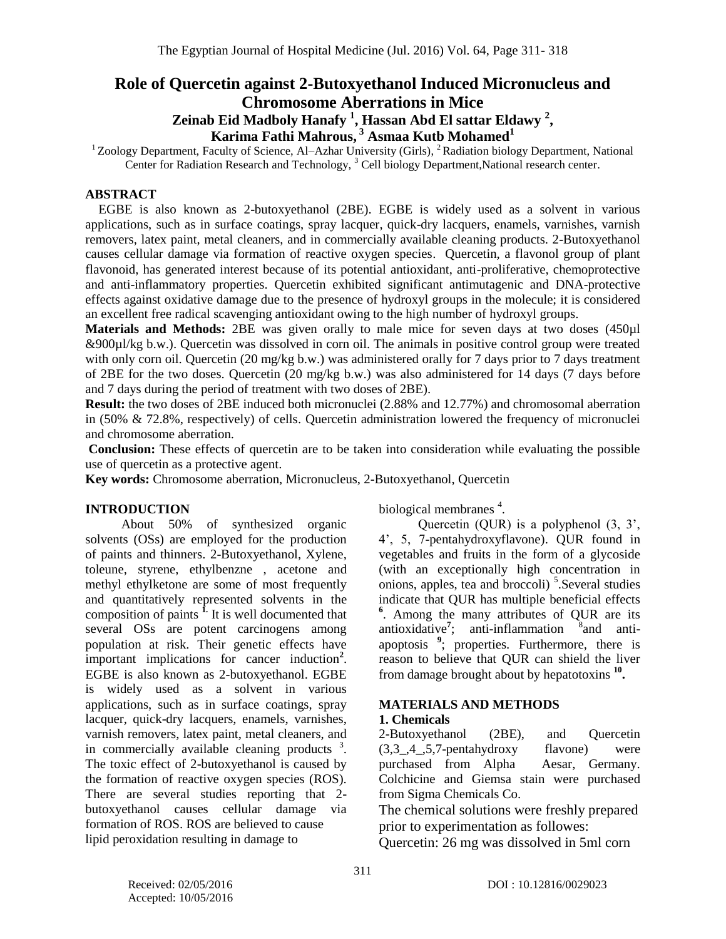# **Role of Quercetin against 2-Butoxyethanol Induced Micronucleus and**

**Chromosome Aberrations in Mice**

# **Zeinab Eid Madboly Hanafy <sup>1</sup> , Hassan Abd El sattar Eldawy <sup>2</sup> , Karima Fathi Mahrous, <sup>3</sup> Asmaa Kutb Mohamed<sup>1</sup>**

<sup>1</sup> Zoology Department, Faculty of Science, Al-Azhar University (Girls), <sup>2</sup> Radiation biology Department, National Center for Radiation Research and Technology, <sup>3</sup> Cell biology Department, National research center.

## **ABSTRACT**

EGBE is also known as 2-butoxyethanol (2BE). EGBE is widely used as a solvent in various applications, such as in surface coatings, spray lacquer, quick-dry lacquers, enamels, varnishes, varnish removers, latex paint, metal cleaners, and in commercially available cleaning products. 2-Butoxyethanol causes cellular damage via formation of reactive oxygen species. Quercetin, a flavonol group of plant flavonoid, has generated interest because of its potential antioxidant, anti-proliferative, chemoprotective and anti-inflammatory properties. Quercetin exhibited significant antimutagenic and DNA-protective effects against oxidative damage due to the presence of hydroxyl groups in the molecule; it is considered an excellent free radical scavenging antioxidant owing to the high number of hydroxyl groups.

**Materials and Methods:** 2BE was given orally to male mice for seven days at two doses (450µl &900µl/kg b.w.). Quercetin was dissolved in corn oil. The animals in positive control group were treated with only corn oil. Quercetin (20 mg/kg b.w.) was administered orally for 7 days prior to 7 days treatment of 2BE for the two doses. Quercetin (20 mg/kg b.w.) was also administered for 14 days (7 days before and 7 days during the period of treatment with two doses of 2BE).

**Result:** the two doses of 2BE induced both micronuclei (2.88% and 12.77%) and chromosomal aberration in (50% & 72.8%, respectively) of cells. Quercetin administration lowered the frequency of micronuclei and chromosome aberration.

**Conclusion:** These effects of quercetin are to be taken into consideration while evaluating the possible use of quercetin as a protective agent.

**Key words:** Chromosome aberration, Micronucleus, 2-Butoxyethanol, Quercetin

## **INTRODUCTION**

 About 50% of synthesized organic solvents (OSs) are employed for the production of paints and thinners. 2-Butoxyethanol, Xylene, toleune, styrene, ethylbenzne , acetone and methyl ethylketone are some of most frequently and quantitatively represented solvents in the composition of paints **1.** It is well documented that several OSs are potent carcinogens among population at risk. Their genetic effects have important implications for cancer induction**<sup>2</sup>** . EGBE is also known as 2-butoxyethanol. EGBE is widely used as a solvent in various applications, such as in surface coatings, spray lacquer, quick-dry lacquers, enamels, varnishes, varnish removers, latex paint, metal cleaners, and in commercially available cleaning products  $3$ . The toxic effect of 2-butoxyethanol is caused by the formation of reactive oxygen species (ROS). There are several studies reporting that 2 butoxyethanol causes cellular damage via formation of ROS. ROS are believed to cause lipid peroxidation resulting in damage to

biological membranes<sup>4</sup>.

 Quercetin (QUR) is a polyphenol (3, 3', 4', 5, 7-pentahydroxyflavone). QUR found in vegetables and fruits in the form of a glycoside (with an exceptionally high concentration in onions, apples, tea and broccoli)<sup>5</sup>. Several studies indicate that QUR has multiple beneficial effects **6** . Among the many attributes of QUR are its antioxidative<sup>7</sup>; anti-inflammation <sup>8</sup>  $\delta$  and antiapoptosis **<sup>9</sup>** ; properties. Furthermore, there is reason to believe that QUR can shield the liver from damage brought about by hepatotoxins **<sup>10</sup> .**

#### **MATERIALS AND METHODS 1. Chemicals**

2-Butoxyethanol (2BE), and Quercetin (3,3\_,4\_,5,7-pentahydroxy flavone) were purchased from Alpha Aesar, Germany. Colchicine and Giemsa stain were purchased from Sigma Chemicals Co.

The chemical solutions were freshly prepared prior to experimentation as followes:

Quercetin: 26 mg was dissolved in 5ml corn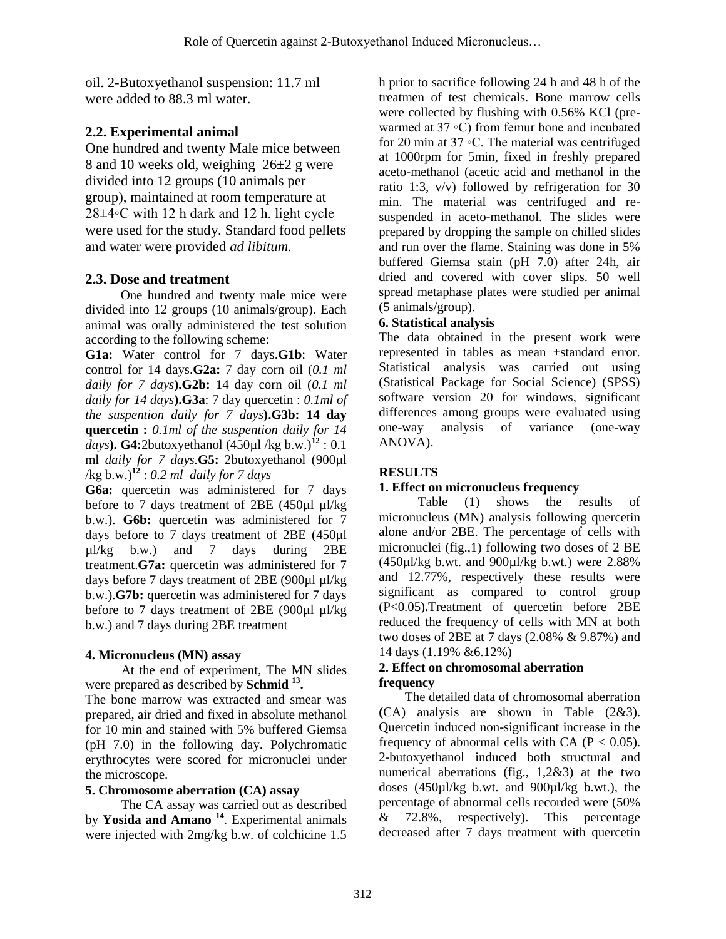oil. 2-Butoxyethanol suspension: 11.7 ml were added to 88.3 ml water.

# **2.2. Experimental animal**

One hundred and twenty Male mice between 8 and 10 weeks old, weighing  $26\pm2$  g were divided into 12 groups (10 animals per group), maintained at room temperature at 28±4◦C with 12 h dark and 12 h. light cycle were used for the study. Standard food pellets and water were provided *ad libitum.*

# **2.3. Dose and treatment**

One hundred and twenty male mice were divided into 12 groups (10 animals/group). Each animal was orally administered the test solution according to the following scheme:

**G1a:** Water control for 7 days.**G1b**: Water control for 14 days.**G2a:** 7 day corn oil (*0.1 ml daily for 7 days***).G2b:** 14 day corn oil (*0.1 ml daily for 14 days***).G3a**: 7 day quercetin : *0.1ml of the suspention daily for 7 days***).G3b: 14 day quercetin :** *0.1ml of the suspention daily for 14 days***).** G4:2butoxyethanol  $(450 \mu$ *l* /kg b.w.<sup>12</sup> : 0.1 ml *daily for 7 days.***G5:** 2butoxyethanol (900µl /kg b.w.)**<sup>12</sup>** : *0.2 ml daily for 7 days*

**G6a:** quercetin was administered for 7 days before to 7 days treatment of 2BE (450µl µl/kg b.w.). **G6b:** quercetin was administered for 7 days before to 7 days treatment of 2BE (450µl µl/kg b.w.) and 7 days during 2BE treatment.**G7a:** quercetin was administered for 7 days before 7 days treatment of 2BE (900µl µl/kg b.w.).**G7b:** quercetin was administered for 7 days before to 7 days treatment of 2BE (900µl µl/kg b.w.) and 7 days during 2BE treatment

# **4. Micronucleus (MN) assay**

 At the end of experiment, The MN slides were prepared as described by **Schmid <sup>13</sup> .**

The bone marrow was extracted and smear was prepared, air dried and fixed in absolute methanol for 10 min and stained with 5% buffered Giemsa (pH 7.0) in the following day. Polychromatic erythrocytes were scored for micronuclei under the microscope.

# **5. Chromosome aberration (CA) assay**

 The CA assay was carried out as described by **Yosida and Amano <sup>14</sup>** . Experimental animals were injected with 2mg/kg b.w. of colchicine 1.5

h prior to sacrifice following 24 h and 48 h of the treatmen of test chemicals. Bone marrow cells were collected by flushing with 0.56% KCl (prewarmed at 37 ◦C) from femur bone and incubated for 20 min at 37 ◦C. The material was centrifuged at 1000rpm for 5min, fixed in freshly prepared aceto-methanol (acetic acid and methanol in the ratio 1:3, v/v) followed by refrigeration for 30 min. The material was centrifuged and resuspended in aceto-methanol. The slides were prepared by dropping the sample on chilled slides and run over the flame. Staining was done in 5% buffered Giemsa stain (pH 7.0) after 24h, air dried and covered with cover slips. 50 well spread metaphase plates were studied per animal (5 animals/group).

# **6. Statistical analysis**

The data obtained in the present work were represented in tables as mean ±standard error. Statistical analysis was carried out using (Statistical Package for Social Science) (SPSS) software version 20 for windows, significant differences among groups were evaluated using one-way analysis of variance (one-way ANOVA).

# **RESULTS**

# **1. Effect on micronucleus frequency**

 Table (1) shows the results of micronucleus (MN) analysis following quercetin alone and/or 2BE. The percentage of cells with micronuclei (fig.,1) following two doses of 2 BE  $(450\mu$ l/kg b.wt. and  $900\mu$ l/kg b.wt.) were 2.88% and 12.77%, respectively these results were significant as compared to control group (P<0.05)**.**Treatment of quercetin before 2BE reduced the frequency of cells with MN at both two doses of 2BE at 7 days (2.08% & 9.87%) and 14 days (1.19% &6.12%)

### **2. Effect on chromosomal aberration frequency**

 The detailed data of chromosomal aberration **(**CA) analysis are shown in Table (2&3). Quercetin induced non-significant increase in the frequency of abnormal cells with CA ( $P < 0.05$ ). 2-butoxyethanol induced both structural and numerical aberrations (fig., 1,2&3) at the two doses (450µl/kg b.wt. and 900µl/kg b.wt.), the percentage of abnormal cells recorded were (50%  $\&$  72.8%, respectively). This percentage decreased after 7 days treatment with quercetin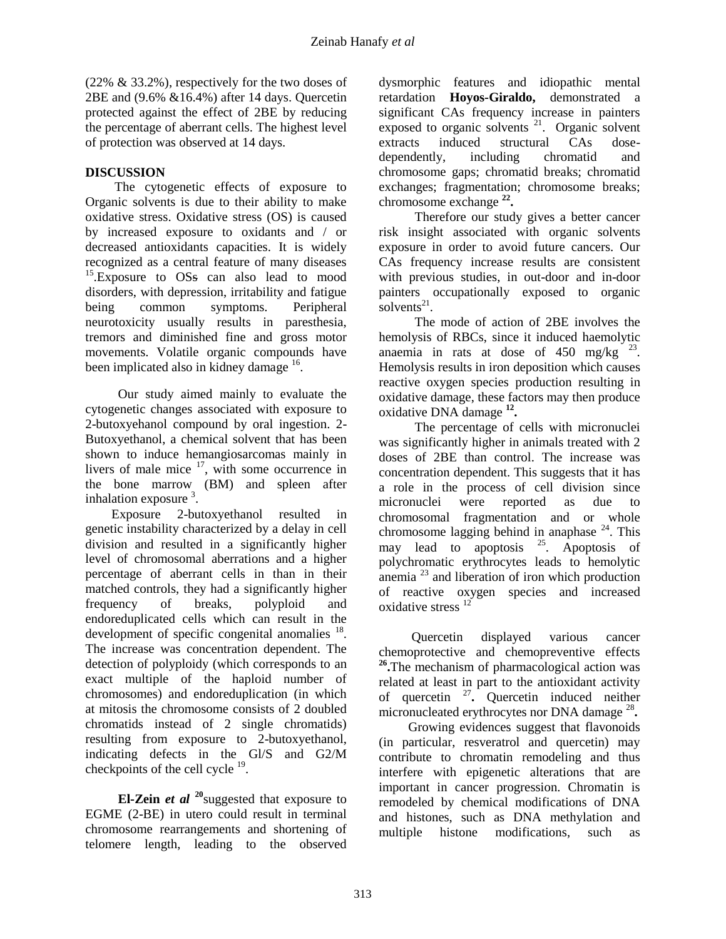(22% & 33.2%), respectively for the two doses of 2BE and (9.6% &16.4%) after 14 days. Quercetin protected against the effect of 2BE by reducing the percentage of aberrant cells. The highest level of protection was observed at 14 days.

## **DISCUSSION**

 The cytogenetic effects of exposure to Organic solvents is due to their ability to make oxidative stress. Oxidative stress (OS) is caused by increased exposure to oxidants and / or decreased antioxidants capacities. It is widely recognized as a central feature of many diseases <sup>15</sup>.Exposure to OS<sub>s</sub> can also lead to mood disorders, with depression, irritability and fatigue being common symptoms. Peripheral neurotoxicity usually results in paresthesia, tremors and diminished fine and gross motor movements. Volatile organic compounds have been implicated also in kidney damage <sup>16</sup>.

 Our study aimed mainly to evaluate the cytogenetic changes associated with exposure to 2-butoxyehanol compound by oral ingestion. 2- Butoxyethanol, a chemical solvent that has been shown to induce hemangiosarcomas mainly in livers of male mice  $17$ , with some occurrence in the bone marrow (BM) and spleen after inhalation exposure  $3$ .

 Exposure 2-butoxyethanol resulted in genetic instability characterized by a delay in cell division and resulted in a significantly higher level of chromosomal aberrations and a higher percentage of aberrant cells in than in their matched controls, they had a significantly higher frequency of breaks, polyploid and endoreduplicated cells which can result in the development of specific congenital anomalies  $^{18}$ . The increase was concentration dependent. The detection of polyploidy (which corresponds to an exact multiple of the haploid number of chromosomes) and endoreduplication (in which at mitosis the chromosome consists of 2 doubled chromatids instead of 2 single chromatids) resulting from exposure to 2-butoxyethanol, indicating defects in the Gl/S and G2/M checkpoints of the cell cycle  $19$ .

 **El-Zein** *et al* **<sup>20</sup>**suggested that exposure to EGME (2-BE) in utero could result in terminal chromosome rearrangements and shortening of telomere length, leading to the observed

dysmorphic features and idiopathic mental retardation **Hoyos-Giraldo,** demonstrated a significant CAs frequency increase in painters exposed to organic solvents  $21$ . Organic solvent extracts induced structural CAs dosedependently, including chromatid and chromosome gaps; chromatid breaks; chromatid exchanges; fragmentation; chromosome breaks; chromosome exchange **22 .**

 Therefore our study gives a better cancer risk insight associated with organic solvents exposure in order to avoid future cancers. Our CAs frequency increase results are consistent with previous studies, in out-door and in-door painters occupationally exposed to organic solvents $^{21}$ .

 The mode of action of 2BE involves the hemolysis of RBCs, since it induced haemolytic anaemia in rats at dose of  $450$  mg/kg  $^{23}$ . Hemolysis results in iron deposition which causes reactive oxygen species production resulting in oxidative damage, these factors may then produce oxidative DNA damage **<sup>12</sup> .**

 The percentage of cells with micronuclei was significantly higher in animals treated with 2 doses of 2BE than control. The increase was concentration dependent. This suggests that it has a role in the process of cell division since micronuclei were reported as due to chromosomal fragmentation and or whole chromosome lagging behind in anaphase  $^{24}$ . This may lead to apoptosis  $^{25}$ . Apoptosis of polychromatic erythrocytes leads to hemolytic anemia  $^{23}$  and liberation of iron which production of reactive oxygen species and increased oxidative stress<sup>12</sup>

 Quercetin displayed various cancer chemoprotective and chemopreventive effects <sup>26</sup>. The mechanism of pharmacological action was related at least in part to the antioxidant activity of quercetin <sup>27</sup> **.** Quercetin induced neither micronucleated erythrocytes nor DNA damage <sup>28</sup> **.** 

 Growing evidences suggest that flavonoids (in particular, resveratrol and quercetin) may contribute to chromatin remodeling and thus interfere with epigenetic alterations that are important in cancer progression. Chromatin is remodeled by chemical modifications of DNA and histones, such as DNA methylation and multiple histone modifications, such as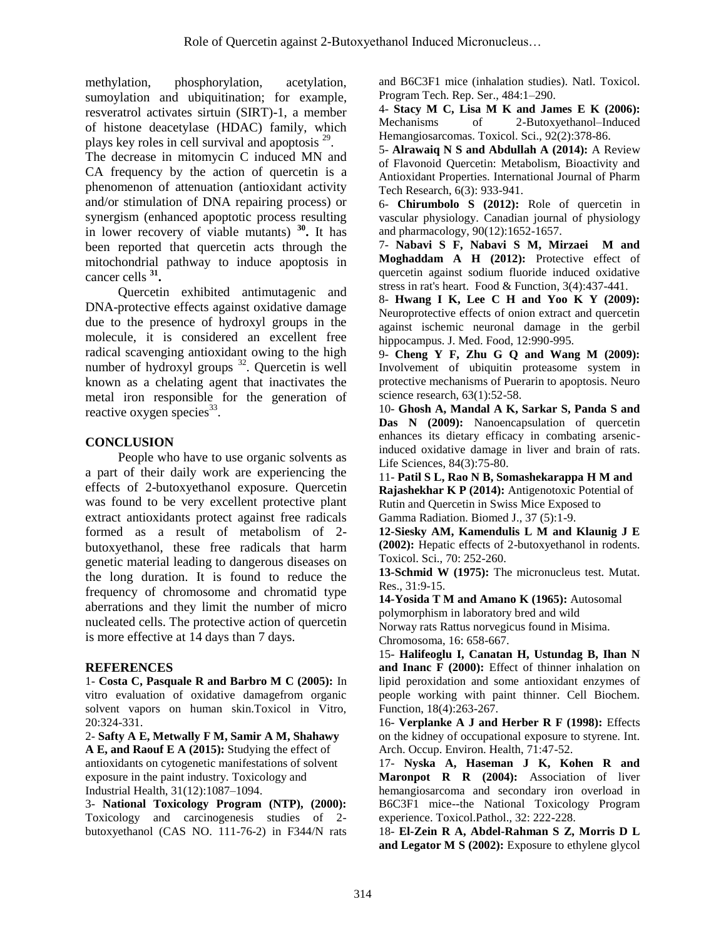methylation, phosphorylation, acetylation, sumoylation and ubiquitination; for example, resveratrol activates sirtuin (SIRT)-1, a member of histone deacetylase (HDAC) family, which plays key roles in cell survival and apoptosis  $2^9$ .

The decrease in mitomycin C induced MN and CA frequency by the action of quercetin is a phenomenon of attenuation (antioxidant activity and/or stimulation of DNA repairing process) or synergism (enhanced apoptotic process resulting in lower recovery of viable mutants) **<sup>30</sup> .** It has been reported that quercetin acts through the mitochondrial pathway to induce apoptosis in cancer cells **<sup>31</sup> .**

 Quercetin exhibited antimutagenic and DNA-protective effects against oxidative damage due to the presence of hydroxyl groups in the molecule, it is considered an excellent free radical scavenging antioxidant owing to the high number of hydroxyl groups  $32$ . Quercetin is well known as a chelating agent that inactivates the metal iron responsible for the generation of reactive oxygen species<sup>33</sup>.

## **CONCLUSION**

 People who have to use organic solvents as a part of their daily work are experiencing the effects of 2-butoxyethanol exposure. Quercetin was found to be very excellent protective plant extract antioxidants protect against free radicals formed as a result of metabolism of 2 butoxyethanol, these free radicals that harm genetic material leading to dangerous diseases on the long duration. It is found to reduce the frequency of chromosome and chromatid type aberrations and they limit the number of micro nucleated cells. The protective action of quercetin is more effective at 14 days than 7 days.

### **REFERENCES**

1- **Costa C, Pasquale R and Barbro M C (2005):** In vitro evaluation of oxidative damagefrom organic solvent vapors on human skin.Toxicol in Vitro, 20:324-331.

2- **Safty A E, Metwally F M, Samir A M, Shahawy A E, and Raouf E A (2015):** Studying the effect of antioxidants on cytogenetic manifestations of solvent exposure in the paint industry. Toxicology and Industrial Health, 31(12):1087–1094.

3- **National Toxicology Program (NTP), (2000):**  Toxicology and carcinogenesis studies of 2 butoxyethanol (CAS NO. 111-76-2) in F344/N rats and B6C3F1 mice (inhalation studies). Natl. Toxicol. Program Tech. Rep. Ser., 484:1–290.

4- **Stacy M C, Lisa M K and James E K (2006):**  Mechanisms of 2-Butoxyethanol–Induced Hemangiosarcomas. [Toxicol. Sci.,](http://www.ncbi.nlm.nih.gov/pubmed/16675516) 92(2):378-86.

5- **Alrawaiq N S and Abdullah A (2014):** A Review of Flavonoid Quercetin: Metabolism, Bioactivity and Antioxidant Properties. International Journal of Pharm Tech Research, 6(3): 933-941.

6- **Chirumbolo S (2012):** Role of quercetin in vascular physiology. Canadian journal of physiology and pharmacology, 90(12):1652-1657.

7- **Nabavi S F, Nabavi S M, Mirzaei M and Moghaddam A H (2012):** Protective effect of quercetin against sodium fluoride induced oxidative stress in rat's heart. Food & Function, 3(4):437-441.

8- **Hwang I K, Lee C H and Yoo K Y (2009):**  Neuroprotective effects of onion extract and quercetin against ischemic neuronal damage in the gerbil hippocampus. J. Med. Food, 12:990-995.

9- **Cheng Y F, Zhu G Q and Wang M (2009):** Involvement of ubiquitin proteasome system in protective mechanisms of Puerarin to apoptosis. Neuro science research, 63(1):52-58.

10- **Ghosh A, Mandal A K, Sarkar S, Panda S and**  Das N (2009): Nanoencapsulation of quercetin enhances its dietary efficacy in combating arsenicinduced oxidative damage in liver and brain of rats. Life Sciences, 84(3):75-80.

11- **Patil S L, Rao N B, Somashekarappa H M and Rajashekhar K P (2014):** Antigenotoxic Potential of Rutin and Quercetin in Swiss Mice Exposed to Gamma Radiation. Biomed J., 37 (5):1-9.

**12-Siesky AM, Kamendulis L M and Klaunig J E (2002):** Hepatic effects of 2-butoxyethanol in rodents. Toxicol. Sci., 70: 252-260.

**13-Schmid W (1975):** The micronucleus test. Mutat. Res., 31:9-15.

**14-Yosida T M and Amano K (1965):** Autosomal polymorphism in laboratory bred and wild Norway rats Rattus norvegicus found in Misima. Chromosoma, 16: 658-667.

15- **Halifeoglu I, Canatan H, Ustundag B, Ihan N and Inanc F (2000):** Effect of thinner inhalation on lipid peroxidation and some antioxidant enzymes of people working with paint thinner. Cell Biochem. Function, 18(4):263-267.

16- **Verplanke A J and Herber R F (1998):** Effects on the kidney of occupational exposure to styrene. Int. Arch. Occup. Environ. Health, 71:47-52.

17- **Nyska A, Haseman J K, Kohen R and Maronpot R R (2004):** Association of liver hemangiosarcoma and secondary iron overload in B6C3F1 mice--the National Toxicology Program experience. Toxicol.Pathol., 32: 222-228.

18- **El-Zein R A, Abdel-Rahman S Z, Morris D L and Legator M S (2002):** Exposure to ethylene glycol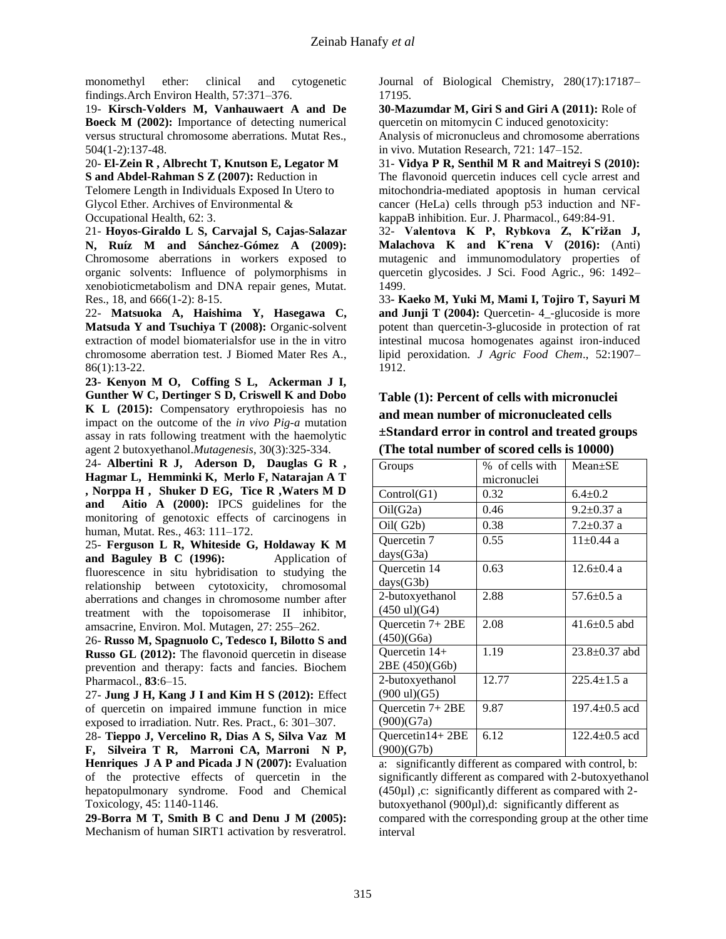monomethyl ether: clinical and cytogenetic findings.Arch Environ Health, 57:371–376.

19- **Kirsch-Volders M, Vanhauwaert A and De Boeck M (2002):** Importance of detecting numerical versus structural chromosome aberrations. Mutat Res., 504(1-2):137-48.

20- **El-Zein R , Albrecht T, Knutson E, Legator M S and Abdel-Rahman S Z (2007):** Reduction in Telomere Length in Individuals Exposed In Utero to Glycol Ether. Archives of Environmental &

Occupational Health, 62: 3.

21- **Hoyos-Giraldo L S, Carvajal S, Cajas-Salazar N, Ruíz M and Sánchez-Gómez A (2009):**  Chromosome aberrations in workers exposed to organic solvents: Influence of polymorphisms in xenobioticmetabolism and DNA repair genes, Mutat. Res., 18, and 666(1-2): 8-15.

22- **Matsuoka A, Haishima Y, Hasegawa C, Matsuda Y and Tsuchiya T (2008):** Organic-solvent extraction of model biomaterialsfor use in the in vitro chromosome aberration test. [J Biomed Mater Res A.,](http://www.ncbi.nlm.nih.gov/pubmed/17941025) 86(1):13-22.

**23- Kenyon M O, Coffing S L, Ackerman J I, Gunther W C, Dertinger S D, Criswell K and Dobo K L (2015):** Compensatory erythropoiesis has no impact on the outcome of the *in vivo Pig-a* mutation assay in rats following treatment with the haemolytic agent 2 butoxyethanol.*Mutagenesis*, 30(3):325-334.

24- **Albertini R J, Aderson D, Dauglas G R , Hagmar L, Hemminki K, Merlo F, Natarajan A T , Norppa H , Shuker D EG, Tice R ,Waters M D and Aitio A (2000):** IPCS guidelines for the monitoring of genotoxic effects of carcinogens in human, Mutat. Res., 463: 111–172.

25- **Ferguson L R, Whiteside G, Holdaway K M and Baguley B C (1996):** Application of fluorescence in situ hybridisation to studying the relationship between cytotoxicity, chromosomal aberrations and changes in chromosome number after treatment with the topoisomerase II inhibitor, amsacrine, Environ. Mol. Mutagen, 27: 255–262.

26- **Russo M, Spagnuolo C, Tedesco I, Bilotto S and Russo GL (2012):** The flavonoid quercetin in disease prevention and therapy: facts and fancies. Biochem Pharmacol., **83**:6–15.

27- **Jung J H, Kang J I and Kim H S (2012):** Effect of quercetin on impaired immune function in mice exposed to irradiation. Nutr. Res. Pract., 6: 301–307.

28- **Tieppo J, Vercelino R, Dias A S, Silva Vaz M F, Silveira T R, Marroni CA, Marroni N P, Henriques J A P and Picada J N (2007):** Evaluation of the protective effects of quercetin in the hepatopulmonary syndrome. Food and Chemical Toxicology, 45: 1140-1146.

**29-Borra M T, Smith B C and Denu J M (2005):**  Mechanism of human SIRT1 activation by resveratrol. Journal of Biological Chemistry, 280(17):17187– 17195.

**30-Mazumdar M, Giri S and Giri A (2011):** Role of quercetin on mitomycin C induced genotoxicity:

Analysis of micronucleus and chromosome aberrations in vivo. Mutation Research, 721: 147–152.

31- **Vidya P R, Senthil M R and Maitreyi S (2010):**  The flavonoid quercetin induces cell cycle arrest and mitochondria-mediated apoptosis in human cervical cancer (HeLa) cells through p53 induction and NFkappaB inhibition. Eur. J. Pharmacol., 649:84-91.

32- **Valentova K P, Rybkova Z, Kˇrižan J, Malachova K and Kˇrena V (2016):** (Anti) mutagenic and immunomodulatory properties of quercetin glycosides. J Sci. Food Agric*.,* 96: 1492– 1499.

33**- Kaeko M, Yuki M, Mami I, Tojiro T, Sayuri M and Junji T (2004):** Quercetin- 4\_-glucoside is more potent than quercetin-3-glucoside in protection of rat intestinal mucosa homogenates against iron-induced lipid peroxidation. *J Agric Food Chem*., 52:1907– 1912.

## **Table (1): Percent of cells with micronuclei and mean number of micronucleated cells ±Standard error in control and treated groups (The total number of scored cells is 10000)**

| Groups                          | % of cells with | Mean±SE             |  |  |  |  |
|---------------------------------|-----------------|---------------------|--|--|--|--|
|                                 | micronuclei     |                     |  |  |  |  |
| Control(G1)                     | 0.32            | $6.4 \pm 0.2$       |  |  |  |  |
| Oil(G2a)                        | 0.46            | $9.2 \pm 0.37$ a    |  |  |  |  |
| Oil(G2b)                        | 0.38            | $7.2 \pm 0.37$ a    |  |  |  |  |
| Quercetin 7                     | 0.55            | $11+0.44$ a         |  |  |  |  |
| days(G3a)                       |                 |                     |  |  |  |  |
| Quercetin 14                    | 0.63            | $12.6 \pm 0.4$ a    |  |  |  |  |
| days(G3b)                       |                 |                     |  |  |  |  |
| 2-butoxyethanol                 | 2.88            | $57.6 \pm 0.5$ a    |  |  |  |  |
| $(450 \text{ ul})(G4)$          |                 |                     |  |  |  |  |
| Quercetin $7+2BE$               | 2.08            | $41.6 \pm 0.5$ abd  |  |  |  |  |
| (450)(G6a)                      |                 |                     |  |  |  |  |
| Quercetin 14+                   | 1.19            | $23.8 \pm 0.37$ abd |  |  |  |  |
| 2BE (450)(G6b)                  |                 |                     |  |  |  |  |
| 2-butoxyethanol                 | 12.77           | $225.4 \pm 1.5$ a   |  |  |  |  |
| $(900 \text{ ul})(G5)$          |                 |                     |  |  |  |  |
| Quercetin $7+2BE$               | 9.87            | $197.4 \pm 0.5$ acd |  |  |  |  |
| (900)(G7a)                      |                 |                     |  |  |  |  |
| $Quercetin14+2BE$<br>(900)(G7b) | 6.12            | $122.4 \pm 0.5$ acd |  |  |  |  |

a: significantly different as compared with control, b: significantly different as compared with 2-butoxyethanol  $(450µ)$ , c: significantly different as compared with 2butoxyethanol (900µl),d: significantly different as compared with the corresponding group at the other time interval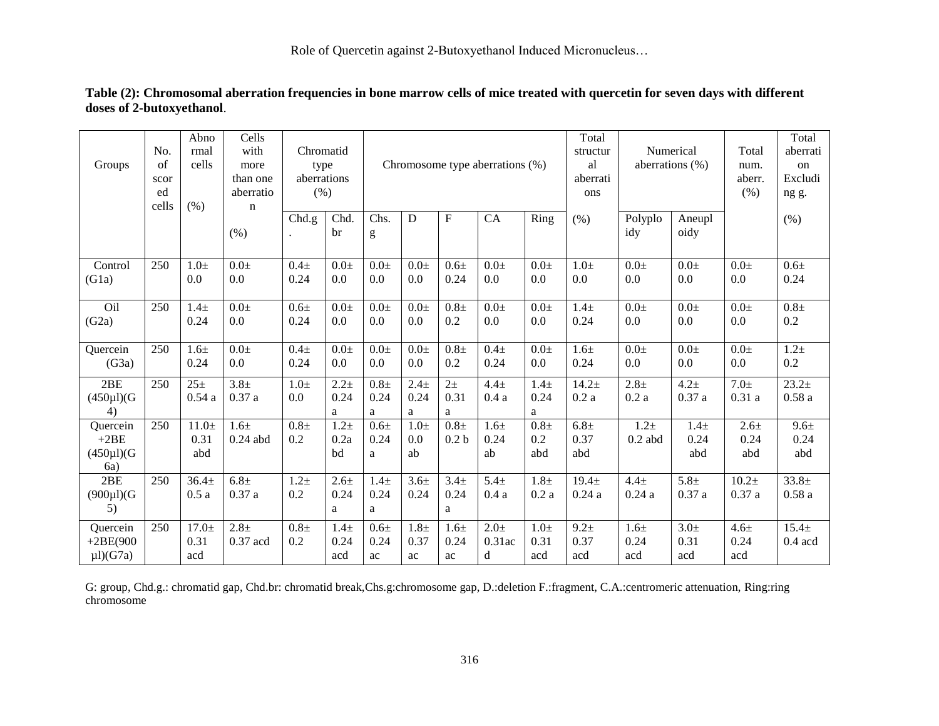Role of Quercetin against 2-Butoxyethanol Induced Micronucleus…

|                      | No.   | Abno<br>rmal      | Cells<br>with    | Chromatid   |                  |                                 |                     |                     |                  |                  | Total<br>structur | Numerical          |                     | Total             | Total<br>aberrati |
|----------------------|-------|-------------------|------------------|-------------|------------------|---------------------------------|---------------------|---------------------|------------------|------------------|-------------------|--------------------|---------------------|-------------------|-------------------|
|                      | of    | cells             |                  |             |                  | Chromosome type aberrations (%) |                     |                     |                  |                  |                   |                    |                     |                   |                   |
| Groups               |       |                   | more             | type        |                  |                                 |                     |                     |                  |                  | al                | aberrations $(\%)$ |                     | num.              | on                |
|                      | scor  |                   | than one         | aberrations |                  |                                 |                     |                     |                  |                  | aberrati          |                    |                     | aberr.            | Excludi           |
|                      | ed    |                   | aberratio        | (% )        |                  |                                 |                     |                     |                  |                  | ons               |                    |                     | (% )              | ng g.             |
|                      | cells | (% )              | $\mathbf n$      |             |                  |                                 |                     |                     |                  |                  |                   |                    |                     |                   |                   |
|                      |       |                   |                  | Chd.g.      | Chd.             | Chs.                            | ${\bf D}$           | $\mathbf F$         | CA               | Ring             | (% )              | Polyplo            | Aneupl              |                   | $(\% )$           |
|                      |       |                   | (% )             |             | br               | g                               |                     |                     |                  |                  |                   | idy                | oidy                |                   |                   |
|                      |       |                   |                  |             |                  |                                 |                     |                     |                  |                  |                   |                    |                     |                   |                   |
| Control              | 250   | $1.0\pm$          | $0.0\pm$         | $0.4\pm$    | $0.0\pm$         | $0.0\pm$                        | $0.0\pm$            | $0.6\pm$            | $0.0\pm$         | $0.0\pm$         | $1.0\pm$          | $0.0\pm$           | $0.0 \pm$           | $0.0\pm$          | $0.6\pm$          |
| (G1a)                |       | 0.0               | 0.0              | 0.24        | $0.0\,$          | 0.0                             | 0.0                 | 0.24                | 0.0              | 0.0              | 0.0               | 0.0                | 0.0                 | 0.0               | 0.24              |
|                      |       |                   |                  |             |                  |                                 |                     |                     |                  |                  |                   |                    |                     |                   |                   |
| Oil                  | 250   | $1.4\pm$          | $\overline{0.0}$ | $0.6\pm$    | $0.0 \pm$        | $0.0\pm$                        | $\overline{0.0\pm}$ | $\overline{0.8\pm}$ | $0.0\pm$         | $0.0\pm$         | $1.4\pm$          | 0.0 <sub>±</sub>   | $\overline{0.0\pm}$ | $0.0\pm$          | $0.8\pm$          |
| (G2a)                |       | 0.24              | 0.0              | 0.24        | 0.0              | 0.0                             | 0.0                 | 0.2                 | 0.0              | 0.0              | 0.24              | 0.0                | 0.0                 | 0.0               | $0.2\,$           |
|                      |       |                   |                  |             |                  |                                 |                     |                     |                  |                  |                   |                    |                     |                   |                   |
| Quercein             | 250   | $1.6\pm$          | $0.0\pm$         | $0.4\pm$    | $0.0 \pm$        | $0.0 \pm$                       | $0.0\pm$            | $0.8\pm$            | $0.4\pm$         | $0.0\pm$         | $1.6\pm$          | $0.0\pm$           | $0.0 \pm$           | $0.0 \pm$         | $1.2\pm$          |
| (G3a)                |       | 0.24              | 0.0              | 0.24        | 0.0              | 0.0                             | 0.0                 | 0.2                 | 0.24             | 0.0              | 0.24              | 0.0                | 0.0                 | 0.0               | 0.2               |
|                      |       |                   |                  |             |                  |                                 |                     |                     |                  |                  |                   |                    |                     |                   |                   |
| 2BE                  | 250   | $25 +$            | 3.8 <sub>±</sub> | $1.0\pm$    | $2.2 +$          | $0.8\pm$                        | $2.4\pm$            | $2+$                | $4.4 \pm$        | $1.4\pm$         | $14.2 +$          | 2.8 <sub>±</sub>   | $4.2 \pm$           | 7.0 <sub>±</sub>  | 23.2 <sub>±</sub> |
| $(450\mu I)(G)$      |       | 0.54a             | 0.37a            | 0.0         | 0.24             | 0.24                            | 0.24                | 0.31                | 0.4a             | 0.24             | 0.2a              | 0.2a               | 0.37a               | 0.31a             | 0.58a             |
| 4)                   |       |                   |                  |             | a                | a                               | a                   | a                   |                  | a                |                   |                    |                     |                   |                   |
| Quercein             | 250   | $11.0\pm$         | $1.6\pm$         | $0.8\pm$    | $1.2\pm$         | $0.6\pm$                        | $1.0\pm$            | $0.8\pm$            | 1.6 <sub>±</sub> | $0.8\pm$         | $6.8\pm$          | $1.2\pm$           | $1.4\pm$            | $2.6 +$           | $9.6\pm$          |
| $+2BE$               |       | 0.31              | $0.24$ abd       | 0.2         | 0.2a             | 0.24                            | 0.0                 | 0.2 <sub>b</sub>    | 0.24             | 0.2              | 0.37              | $0.2$ abd          | 0.24                | 0.24              | 0.24              |
| $(450 \mu I)(G)$     |       | abd               |                  |             | bd               | a                               | ab                  |                     | ab               | abd              | abd               |                    | abd                 | abd               | abd               |
| 6a)                  |       |                   |                  |             |                  |                                 |                     |                     |                  |                  |                   |                    |                     |                   |                   |
| 2BE                  | 250   | 36.4 <sub>±</sub> | 6.8 <sub>±</sub> | $1.2\pm$    | 2.6 <sub>±</sub> | $1.4\pm$                        | $3.6+$              | 3.4 <sub>±</sub>    | 5.4 <sub>±</sub> | 1.8 <sub>±</sub> | $19.4 \pm$        | $4.4 \pm$          | 5.8 <sub>±</sub>    | 10.2 <sub>±</sub> | $33.8 \pm$        |
| $(900 \mu I)(G)$     |       | 0.5a              | 0.37a            | 0.2         | 0.24             | 0.24                            | 0.24                | 0.24                | 0.4a             | 0.2a             | 0.24a             | 0.24a              | 0.37a               | 0.37a             | 0.58a             |
| 5)                   |       |                   |                  |             | a                | a                               |                     | a                   |                  |                  |                   |                    |                     |                   |                   |
|                      |       |                   |                  |             |                  |                                 |                     |                     |                  |                  |                   |                    |                     |                   | $15.4 \pm$        |
| Quercein             | 250   | $17.0 \pm$        | 2.8 <sub>±</sub> | $0.8\pm$    | $1.4\pm$         | $0.6\pm$                        | $1.8\pm$            | 1.6 <sub>±</sub>    | $2.0\pm$         | $1.0\pm$         | $9.2 \pm$         | $1.6\pm$           | $3.0\pm$            | $4.6 \pm$         |                   |
| $+2BE(900$           |       | 0.31              | 0.37 acd         | 0.2         | 0.24             | 0.24                            | 0.37                | 0.24                | 0.31ac           | 0.31             | 0.37              | 0.24               | 0.31                | 0.24              | $0.4$ acd         |
| $\mu$ l $\chi$ (G7a) |       | acd               |                  |             | acd              | ac                              | ac                  | ac                  | d                | acd              | acd               | acd                | acd                 | acd               |                   |

### **Table (2): Chromosomal aberration frequencies in bone marrow cells of mice treated with quercetin for seven days with different doses of 2-butoxyethanol**.

G: group, Chd.g.: chromatid gap, Chd.br: chromatid break,Chs.g:chromosome gap, D.:deletion F.:fragment, C.A.:centromeric attenuation, Ring:ring chromosome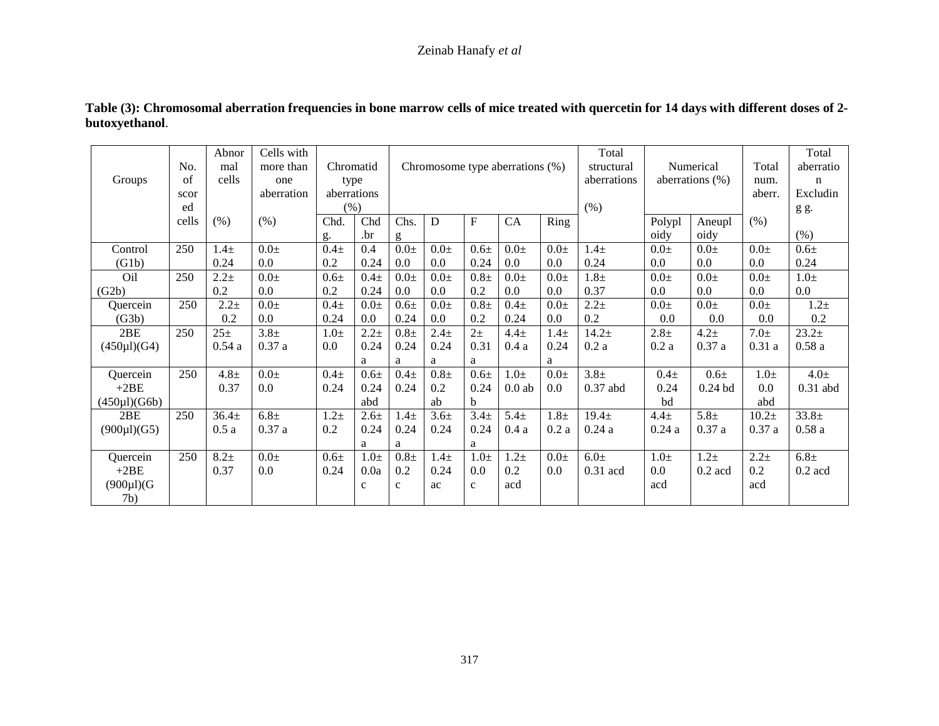## Zeinab Hanafy *et al*

|                    |            | Abnor           | Cells with       |             |              |                                 |                  |                  |           |          | Total       |                    |           |           | Total            |
|--------------------|------------|-----------------|------------------|-------------|--------------|---------------------------------|------------------|------------------|-----------|----------|-------------|--------------------|-----------|-----------|------------------|
|                    | No.        | mal             | more than        | Chromatid   |              | Chromosome type aberrations (%) |                  |                  |           |          | structural  | Numerical          |           | Total     | aberratio        |
| Groups             | $\sigma$ f | cells           | one              | type        |              |                                 |                  |                  |           |          | aberrations | aberrations $(\%)$ |           | num.      | n                |
|                    | scor       |                 | aberration       | aberrations |              |                                 |                  |                  |           |          |             |                    |           | aberr.    | Excludin         |
|                    | ed         |                 |                  | (% )        |              |                                 |                  |                  |           |          | (% )        |                    |           |           | g g.             |
|                    | cells      | (% )            | (% )             | Chd.        | Chd          | Chs.                            | D                | $\mathbf{F}$     | CA        | Ring     |             | Polypl             | Aneupl    | (% )      |                  |
|                    |            |                 |                  | g.          | .br          | g                               |                  |                  |           |          |             | oidy               | oidy      |           | (% )             |
| Control            | 250        | $1.4\pm$        | $0.0\pm$         | $0.4\pm$    | 0.4          | $0.0\pm$                        | $0.0 \pm$        | $0.6\pm$         | $0.0 \pm$ | $0.0\pm$ | $1.4\pm$    | $0.0 \pm$          | $0.0\pm$  | $0.0 \pm$ | $0.6\pm$         |
| (G1b)              |            | 0.24            | 0.0              | 0.2         | 0.24         | 0.0                             | 0.0              | 0.24             | 0.0       | 0.0      | 0.24        | 0.0                | 0.0       | 0.0       | 0.24             |
| Oil                | 250        | $2.2 +$         | $0.0\pm$         | $0.6\pm$    | $0.4\pm$     | $0.0\pm$                        | $0.0\pm$         | $0.8\pm$         | $0.0\pm$  | $0.0\pm$ | $1.8\pm$    | $0.0 \pm$          | $0.0\pm$  | $0.0 \pm$ | $1.0\pm$         |
| (G2b)              |            | 0.2             | 0.0              | 0.2         | 0.24         | 0.0                             | 0.0              | 0.2              | 0.0       | 0.0      | 0.37        | $0.0\,$            | 0.0       | 0.0       | $0.0\,$          |
| Quercein           | 250        | $2.2 +$         | $0.0 \pm$        | $0.4\pm$    | $0.0 \pm$    | $0.6\pm$                        | $0.0\pm$         | $0.8\pm$         | $0.4 +$   | $0.0\pm$ | $2.2 +$     | $0.0\pm$           | $0.0\pm$  | $0.0\pm$  | $1.2\pm$         |
| (G3b)              |            | 0.2             | 0.0              | 0.24        | 0.0          | 0.24                            | $0.0\,$          | 0.2              | 0.24      | 0.0      | 0.2         | 0.0                | 0.0       | 0.0       | 0.2              |
| 2BE                | 250        | 25 <sub>±</sub> | 3.8 <sub>±</sub> | $1.0\pm$    | $2.2 +$      | $0.8\pm$                        | $2.4 \pm$        | $2\pm$           | $4.4 \pm$ | $1.4\pm$ | $14.2 +$    | 2.8 <sub>±</sub>   | $4.2\pm$  | $7.0\pm$  | $23.2+$          |
| $(450 \mu I)(G4)$  |            | 0.54a           | 0.37a            | 0.0         | 0.24         | 0.24                            | 0.24             | 0.31             | 0.4a      | 0.24     | 0.2a        | 0.2a               | 0.37a     | 0.31a     | 0.58a            |
|                    |            |                 |                  |             | a            | a                               | a                | a                |           | a        |             |                    |           |           |                  |
| Quercein           | 250        | $4.8 \pm$       | $0.0\pm$         | $0.4\pm$    | $0.6\pm$     | $0.4\pm$                        | $0.8\pm$         | $0.6\pm$         | $1.0\pm$  | $0.0\pm$ | $3.8\pm$    | $0.4\pm$           | $0.6\pm$  | $1.0\pm$  | $4.0\pm$         |
| $+2BE$             |            | 0.37            | 0.0              | 0.24        | 0.24         | 0.24                            | 0.2              | 0.24             | $0.0$ ab  | 0.0      | $0.37$ abd  | 0.24               | 0.24bd    | 0.0       | $0.31$ abd       |
| $(450 \mu I)(G6b)$ |            |                 |                  |             | abd          |                                 | ab               | b                |           |          |             | bd                 |           | abd       |                  |
| 2BE                | 250        | $36.4+$         | $6.8\pm$         | $1.2\pm$    | $2.6\pm$     | $1.4\pm$                        | 3.6 <sub>±</sub> | 3.4 <sub>±</sub> | $5.4\pm$  | $1.8\pm$ | $19.4 \pm$  | $4.4\pm$           | $5.8\pm$  | $10.2\pm$ | $33.8 \pm$       |
| $(900 \mu I)(G5)$  |            | 0.5a            | 0.37a            | 0.2         | 0.24         | 0.24                            | 0.24             | 0.24             | 0.4a      | 0.2a     | 0.24a       | 0.24a              | 0.37a     | 0.37a     | 0.58a            |
|                    |            |                 |                  |             | a            | a                               |                  | a                |           |          |             |                    |           |           |                  |
| Quercein           | 250        | $8.2\pm$        | $0.0\pm$         | $0.6\pm$    | $1.0\pm$     | $0.8\pm$                        | $1.4\pm$         | $1.0\pm$         | $1.2\pm$  | $0.0\pm$ | $6.0\pm$    | $1.0\pm$           | $1.2\pm$  | $2.2 +$   | 6.8 <sub>±</sub> |
| $+2BE$             |            | 0.37            | 0.0              | 0.24        | 0.0a         | 0.2                             | 0.24             | 0.0              | 0.2       | 0.0      | 0.31 acd    | 0.0                | $0.2$ acd | 0.2       | $0.2$ acd        |
| $(900 \mu I)(G)$   |            |                 |                  |             | $\mathbf{C}$ | $\mathbf{C}$                    | ac               | $\mathbf{C}$     | acd       |          |             | acd                |           | acd       |                  |
| 7b)                |            |                 |                  |             |              |                                 |                  |                  |           |          |             |                    |           |           |                  |

## **Table (3): Chromosomal aberration frequencies in bone marrow cells of mice treated with quercetin for 14 days with different doses of 2 butoxyethanol**.